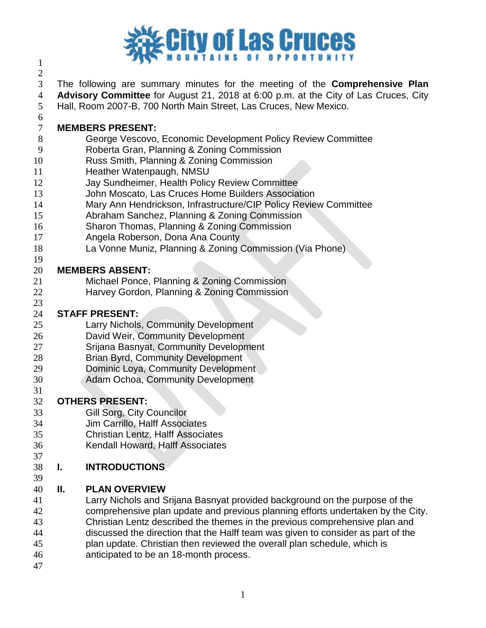

 

 The following are summary minutes for the meeting of the **Comprehensive Plan Advisory Committee** for August 21, 2018 at 6:00 p.m. at the City of Las Cruces, City Hall, Room 2007-B, 700 North Main Street, Las Cruces, New Mexico.

- **MEMBERS PRESENT:**
- George Vescovo, Economic Development Policy Review Committee
- Roberta Gran, Planning & Zoning Commission
- Russ Smith, Planning & Zoning Commission
- 11 Heather Watenpaugh, NMSU
- Jay Sundheimer, Health Policy Review Committee
- John Moscato, Las Cruces Home Builders Association
- Mary Ann Hendrickson, Infrastructure/CIP Policy Review Committee
- Abraham Sanchez, Planning & Zoning Commission
- Sharon Thomas, Planning & Zoning Commission
- Angela Roberson, Dona Ana County
- La Vonne Muniz, Planning & Zoning Commission (Via Phone)

#### **MEMBERS ABSENT:**

- Michael Ponce, Planning & Zoning Commission
- Harvey Gordon, Planning & Zoning Commission

#### **STAFF PRESENT:**

- Larry Nichols, Community Development
- David Weir, Community Development
- Srijana Basnyat, Community Development
- Brian Byrd, Community Development
- Dominic Loya, Community Development
- Adam Ochoa, Community Development

#### **OTHERS PRESENT:**

- Gill Sorg, City Councilor
- Jim Carrillo, Halff Associates
- Christian Lentz, Halff Associates
- Kendall Howard, Halff Associates

#### **I. INTRODUCTIONS**

#### **II. PLAN OVERVIEW**

- Larry Nichols and Srijana Basnyat provided background on the purpose of the comprehensive plan update and previous planning efforts undertaken by the City. Christian Lentz described the themes in the previous comprehensive plan and discussed the direction that the Halff team was given to consider as part of the plan update. Christian then reviewed the overall plan schedule, which is anticipated to be an 18-month process.
-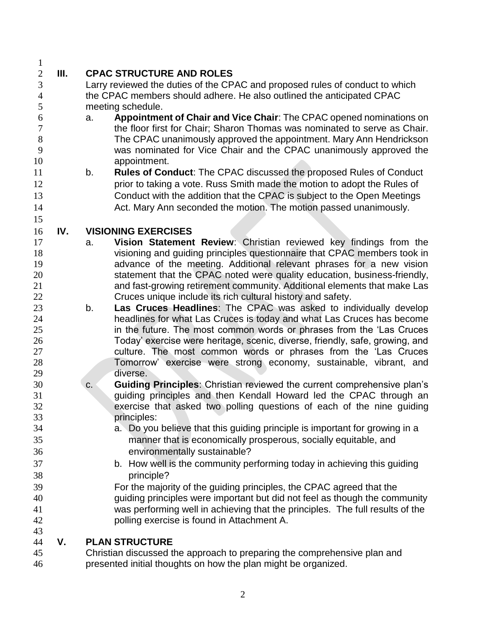# **III. CPAC STRUCTURE AND ROLES**

- Larry reviewed the duties of the CPAC and proposed rules of conduct to which the CPAC members should adhere. He also outlined the anticipated CPAC meeting schedule.
- a. **Appointment of Chair and Vice Chair**: The CPAC opened nominations on the floor first for Chair; Sharon Thomas was nominated to serve as Chair. The CPAC unanimously approved the appointment. Mary Ann Hendrickson was nominated for Vice Chair and the CPAC unanimously approved the appointment.
- b. **Rules of Conduct**: The CPAC discussed the proposed Rules of Conduct **prior to taking a vote. Russ Smith made the motion to adopt the Rules of**  Conduct with the addition that the CPAC is subject to the Open Meetings 14 Act. Mary Ann seconded the motion. The motion passed unanimously.

## **IV. VISIONING EXERCISES**

- a. **Vision Statement Review**: Christian reviewed key findings from the visioning and guiding principles questionnaire that CPAC members took in advance of the meeting. Additional relevant phrases for a new vision statement that the CPAC noted were quality education, business-friendly, and fast-growing retirement community. Additional elements that make Las Cruces unique include its rich cultural history and safety.
- b. **Las Cruces Headlines**: The CPAC was asked to individually develop headlines for what Las Cruces is today and what Las Cruces has become in the future. The most common words or phrases from the 'Las Cruces Today' exercise were heritage, scenic, diverse, friendly, safe, growing, and 27 culture. The most common words or phrases from the 'Las Cruces Tomorrow' exercise were strong economy, sustainable, vibrant, and diverse.
- c. **Guiding Principles**: Christian reviewed the current comprehensive plan's guiding principles and then Kendall Howard led the CPAC through an exercise that asked two polling questions of each of the nine guiding principles:
- a. Do you believe that this guiding principle is important for growing in a manner that is economically prosperous, socially equitable, and environmentally sustainable?
- b. How well is the community performing today in achieving this guiding principle?
- For the majority of the guiding principles, the CPAC agreed that the guiding principles were important but did not feel as though the community was performing well in achieving that the principles. The full results of the polling exercise is found in Attachment A.

## **V. PLAN STRUCTURE**

 Christian discussed the approach to preparing the comprehensive plan and presented initial thoughts on how the plan might be organized.